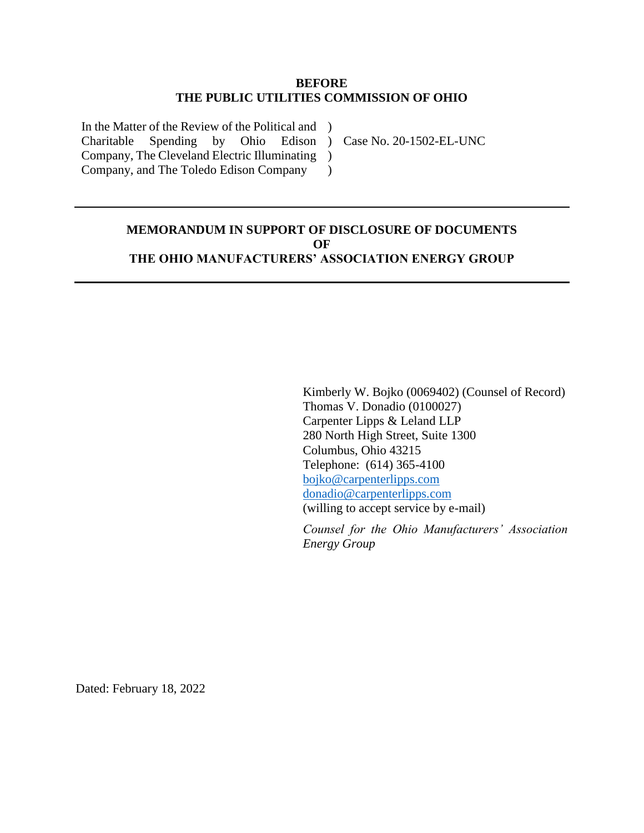### **BEFORE THE PUBLIC UTILITIES COMMISSION OF OHIO**

In the Matter of the Review of the Political and ) Charitable Spending by Ohio Edison ) Case No. 20-1502-EL-UNC Company, The Cleveland Electric Illuminating ) Company, and The Toledo Edison Company

## **MEMORANDUM IN SUPPORT OF DISCLOSURE OF DOCUMENTS OF THE OHIO MANUFACTURERS' ASSOCIATION ENERGY GROUP**

 $\lambda$ 

Kimberly W. Bojko (0069402) (Counsel of Record) Thomas V. Donadio (0100027) Carpenter Lipps & Leland LLP 280 North High Street, Suite 1300 Columbus, Ohio 43215 Telephone: (614) 365-4100 [bojko@carpenterlipps.com](mailto:bojko@carpenterlipps.com) [donadio@carpenterlipps.com](mailto:donadio@carpenterlipps.com) (willing to accept service by e-mail)

*Counsel for the Ohio Manufacturers' Association Energy Group*

Dated: February 18, 2022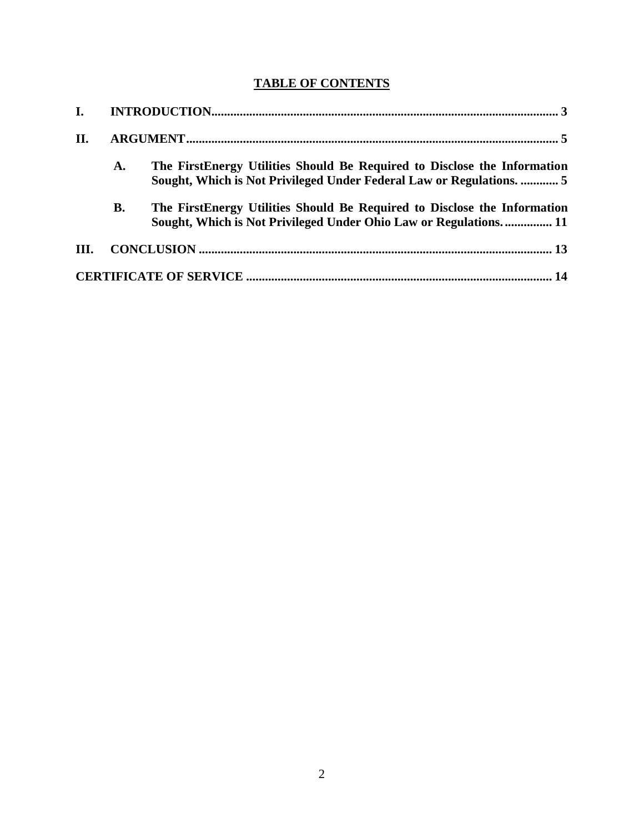# **TABLE OF CONTENTS**

| II.  |           |                                                                                                                                                  |  |
|------|-----------|--------------------------------------------------------------------------------------------------------------------------------------------------|--|
|      | A.        | The FirstEnergy Utilities Should Be Required to Disclose the Information<br>Sought, Which is Not Privileged Under Federal Law or Regulations.  5 |  |
|      | <b>B.</b> | The FirstEnergy Utilities Should Be Required to Disclose the Information<br>Sought, Which is Not Privileged Under Ohio Law or Regulations 11     |  |
| III. |           |                                                                                                                                                  |  |
|      |           |                                                                                                                                                  |  |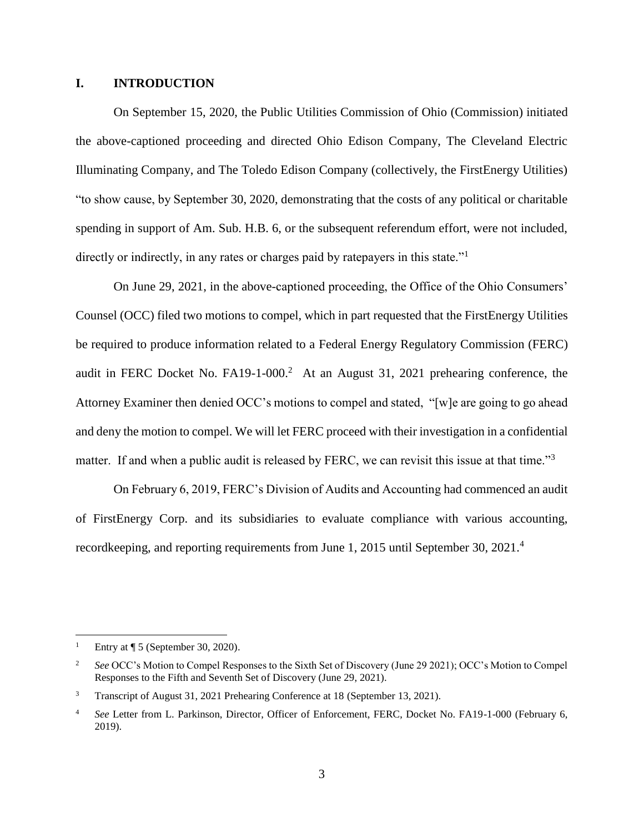### <span id="page-2-0"></span>**I. INTRODUCTION**

On September 15, 2020, the Public Utilities Commission of Ohio (Commission) initiated the above-captioned proceeding and directed Ohio Edison Company, The Cleveland Electric Illuminating Company, and The Toledo Edison Company (collectively, the FirstEnergy Utilities) "to show cause, by September 30, 2020, demonstrating that the costs of any political or charitable spending in support of Am. Sub. H.B. 6, or the subsequent referendum effort, were not included, directly or indirectly, in any rates or charges paid by ratepayers in this state."<sup>1</sup>

On June 29, 2021, in the above-captioned proceeding, the Office of the Ohio Consumers' Counsel (OCC) filed two motions to compel, which in part requested that the FirstEnergy Utilities be required to produce information related to a Federal Energy Regulatory Commission (FERC) audit in FERC Docket No. FA19-1-000.<sup>2</sup> At an August 31, 2021 prehearing conference, the Attorney Examiner then denied OCC's motions to compel and stated, "[w]e are going to go ahead and deny the motion to compel. We will let FERC proceed with their investigation in a confidential matter. If and when a public audit is released by FERC, we can revisit this issue at that time."<sup>3</sup>

On February 6, 2019, FERC's Division of Audits and Accounting had commenced an audit of FirstEnergy Corp. and its subsidiaries to evaluate compliance with various accounting, recordkeeping, and reporting requirements from June 1, 2015 until September 30, 2021.<sup>4</sup>

<sup>&</sup>lt;sup>1</sup> Entry at  $\P$  5 (September 30, 2020).

<sup>&</sup>lt;sup>2</sup> *See* OCC's Motion to Compel Responses to the Sixth Set of Discovery (June 29 2021); OCC's Motion to Compel Responses to the Fifth and Seventh Set of Discovery (June 29, 2021).

<sup>&</sup>lt;sup>3</sup> Transcript of August 31, 2021 Prehearing Conference at 18 (September 13, 2021).

<sup>4</sup> *See* Letter from L. Parkinson, Director, Officer of Enforcement, FERC, Docket No. FA19-1-000 (February 6, 2019).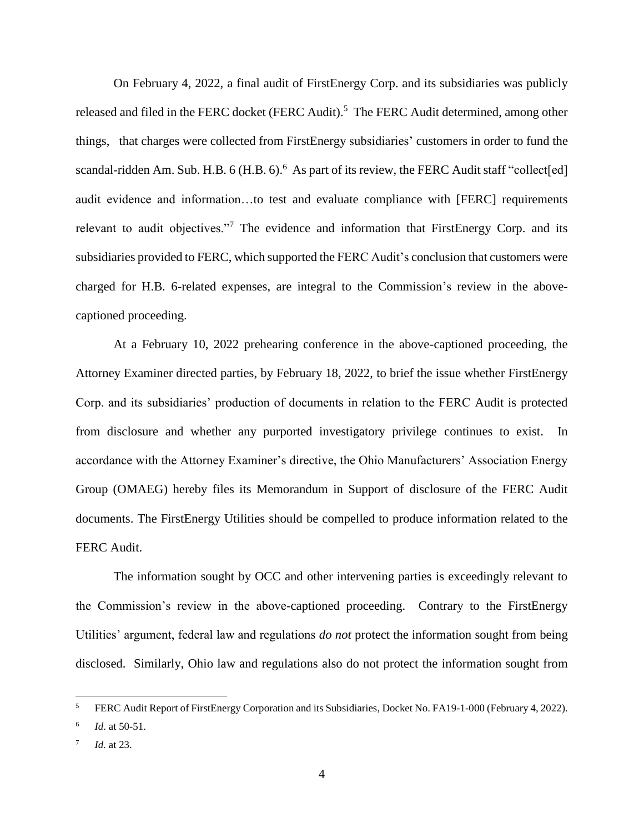On February 4, 2022, a final audit of FirstEnergy Corp. and its subsidiaries was publicly released and filed in the FERC docket (FERC Audit).<sup>5</sup> The FERC Audit determined, among other things, that charges were collected from FirstEnergy subsidiaries' customers in order to fund the scandal-ridden Am. Sub. H.B. 6 (H.B. 6).<sup>6</sup> As part of its review, the FERC Audit staff "collect[ed] audit evidence and information…to test and evaluate compliance with [FERC] requirements relevant to audit objectives."<sup>7</sup> The evidence and information that FirstEnergy Corp. and its subsidiaries provided to FERC, which supported the FERC Audit's conclusion that customers were charged for H.B. 6-related expenses, are integral to the Commission's review in the abovecaptioned proceeding.

At a February 10, 2022 prehearing conference in the above-captioned proceeding, the Attorney Examiner directed parties, by February 18, 2022, to brief the issue whether FirstEnergy Corp. and its subsidiaries' production of documents in relation to the FERC Audit is protected from disclosure and whether any purported investigatory privilege continues to exist. In accordance with the Attorney Examiner's directive, the Ohio Manufacturers' Association Energy Group (OMAEG) hereby files its Memorandum in Support of disclosure of the FERC Audit documents. The FirstEnergy Utilities should be compelled to produce information related to the FERC Audit.

The information sought by OCC and other intervening parties is exceedingly relevant to the Commission's review in the above-captioned proceeding. Contrary to the FirstEnergy Utilities' argument, federal law and regulations *do not* protect the information sought from being disclosed. Similarly, Ohio law and regulations also do not protect the information sought from

<sup>&</sup>lt;sup>5</sup> FERC Audit Report of FirstEnergy Corporation and its Subsidiaries, Docket No. FA19-1-000 (February 4, 2022).

<sup>6</sup> *Id*. at 50-51.

<sup>7</sup> *Id.* at 23.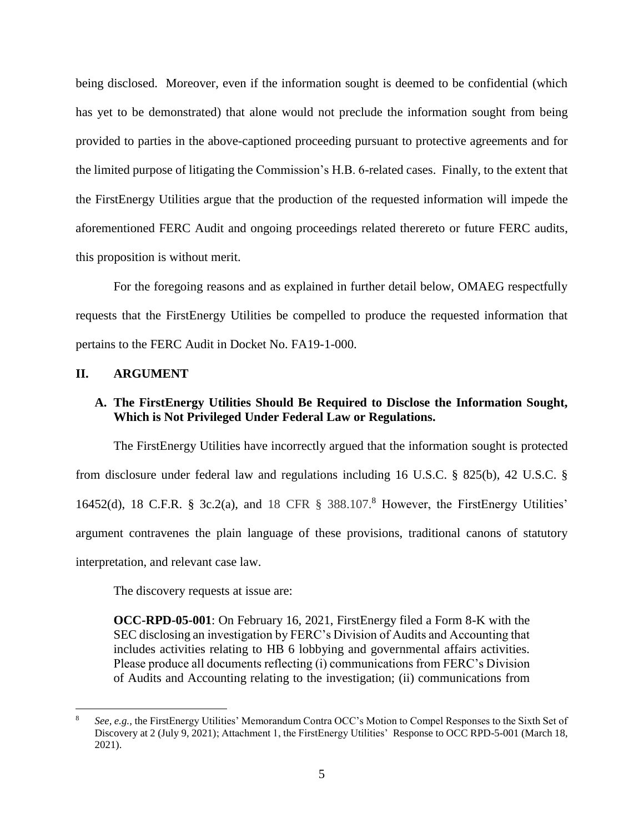being disclosed. Moreover, even if the information sought is deemed to be confidential (which has yet to be demonstrated) that alone would not preclude the information sought from being provided to parties in the above-captioned proceeding pursuant to protective agreements and for the limited purpose of litigating the Commission's H.B. 6-related cases. Finally, to the extent that the FirstEnergy Utilities argue that the production of the requested information will impede the aforementioned FERC Audit and ongoing proceedings related therereto or future FERC audits, this proposition is without merit.

For the foregoing reasons and as explained in further detail below, OMAEG respectfully requests that the FirstEnergy Utilities be compelled to produce the requested information that pertains to the FERC Audit in Docket No. FA19-1-000.

#### <span id="page-4-0"></span>**II. ARGUMENT**

 $\overline{a}$ 

## <span id="page-4-1"></span>**A. The FirstEnergy Utilities Should Be Required to Disclose the Information Sought, Which is Not Privileged Under Federal Law or Regulations.**

The FirstEnergy Utilities have incorrectly argued that the information sought is protected from disclosure under federal law and regulations including 16 U.S.C. § 825(b), 42 U.S.C. § 16452(d), 18 C.F.R. § 3c.2(a), and 18 CFR § 388.107.<sup>8</sup> However, the FirstEnergy Utilities' argument contravenes the plain language of these provisions, traditional canons of statutory interpretation, and relevant case law.

The discovery requests at issue are:

**OCC-RPD-05-001**: On February 16, 2021, FirstEnergy filed a Form 8-K with the SEC disclosing an investigation by FERC's Division of Audits and Accounting that includes activities relating to HB 6 lobbying and governmental affairs activities. Please produce all documents reflecting (i) communications from FERC's Division of Audits and Accounting relating to the investigation; (ii) communications from

<sup>8</sup> *See, e.g.,* the FirstEnergy Utilities' Memorandum Contra OCC's Motion to Compel Responses to the Sixth Set of Discovery at 2 (July 9, 2021); Attachment 1, the FirstEnergy Utilities' Response to OCC RPD-5-001 (March 18, 2021).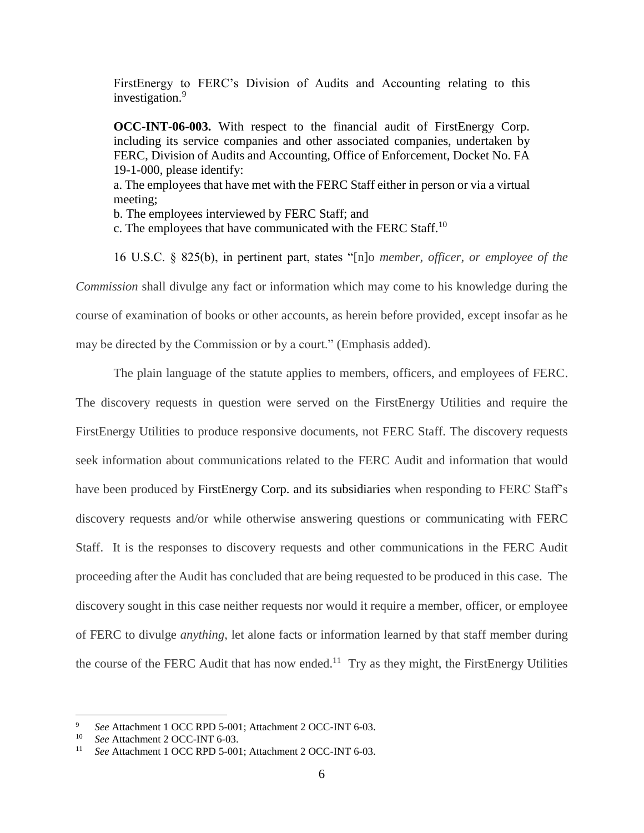FirstEnergy to FERC's Division of Audits and Accounting relating to this investigation.<sup>9</sup>

**OCC-INT-06-003.** With respect to the financial audit of FirstEnergy Corp. including its service companies and other associated companies, undertaken by FERC, Division of Audits and Accounting, Office of Enforcement, Docket No. FA 19-1-000, please identify: a. The employees that have met with the FERC Staff either in person or via a virtual meeting; b. The employees interviewed by FERC Staff; and

c. The employees that have communicated with the FERC Staff.<sup>10</sup>

16 U.S.C. § 825(b), in pertinent part, states "[n]o *member, officer, or employee of the Commission* shall divulge any fact or information which may come to his knowledge during the course of examination of books or other accounts, as herein before provided, except insofar as he may be directed by the Commission or by a court." (Emphasis added).

The plain language of the statute applies to members, officers, and employees of FERC. The discovery requests in question were served on the FirstEnergy Utilities and require the FirstEnergy Utilities to produce responsive documents, not FERC Staff. The discovery requests seek information about communications related to the FERC Audit and information that would have been produced by FirstEnergy Corp. and its subsidiaries when responding to FERC Staff's discovery requests and/or while otherwise answering questions or communicating with FERC Staff. It is the responses to discovery requests and other communications in the FERC Audit proceeding after the Audit has concluded that are being requested to be produced in this case. The discovery sought in this case neither requests nor would it require a member, officer, or employee of FERC to divulge *anything*, let alone facts or information learned by that staff member during the course of the FERC Audit that has now ended.<sup>11</sup> Try as they might, the FirstEnergy Utilities

<sup>9</sup> *See* Attachment 1 OCC RPD 5-001; Attachment 2 OCC-INT 6-03.

<sup>&</sup>lt;sup>10</sup> *See* Attachment 2 OCC-INT 6-03.<br><sup>11</sup> See Attachment 1 OCC PPD 5.001

<sup>11</sup> *See* Attachment 1 OCC RPD 5-001; Attachment 2 OCC-INT 6-03.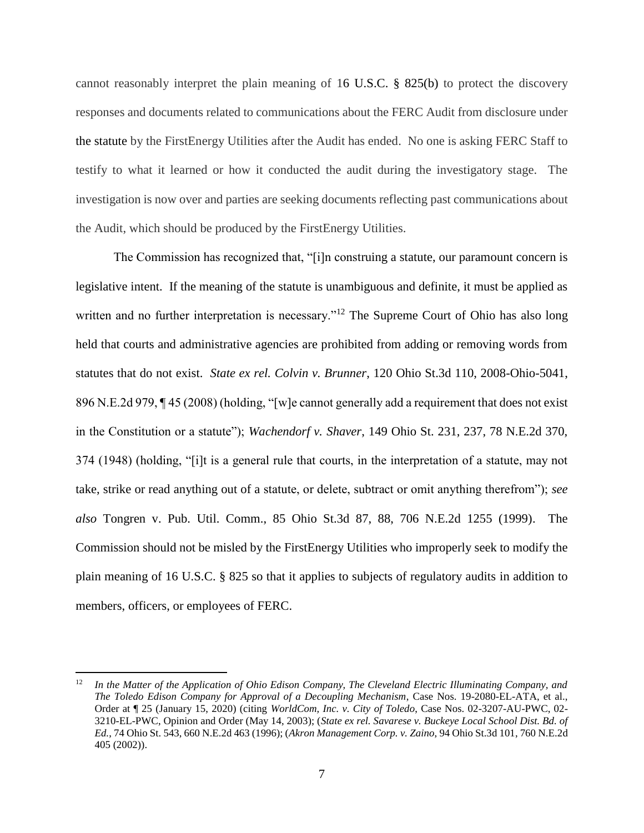cannot reasonably interpret the plain meaning of 16 U.S.C. § 825(b) to protect the discovery responses and documents related to communications about the FERC Audit from disclosure under the statute by the FirstEnergy Utilities after the Audit has ended. No one is asking FERC Staff to testify to what it learned or how it conducted the audit during the investigatory stage. The investigation is now over and parties are seeking documents reflecting past communications about the Audit, which should be produced by the FirstEnergy Utilities.

The Commission has recognized that, "[i]n construing a statute, our paramount concern is legislative intent. If the meaning of the statute is unambiguous and definite, it must be applied as written and no further interpretation is necessary."<sup>12</sup> The Supreme Court of Ohio has also long held that courts and administrative agencies are prohibited from adding or removing words from statutes that do not exist. *State ex rel. Colvin v. Brunner*, 120 Ohio St.3d 110, 2008-Ohio-5041, 896 N.E.2d 979, ¶ 45 (2008) (holding, "[w]e cannot generally add a requirement that does not exist in the Constitution or a statute"); *Wachendorf v. Shaver*, 149 Ohio St. 231, 237, 78 N.E.2d 370, 374 (1948) (holding, "[i]t is a general rule that courts, in the interpretation of a statute, may not take, strike or read anything out of a statute, or delete, subtract or omit anything therefrom"); *see also* Tongren v. Pub. Util. Comm., 85 Ohio St.3d 87, 88, 706 N.E.2d 1255 (1999). The Commission should not be misled by the FirstEnergy Utilities who improperly seek to modify the plain meaning of 16 U.S.C. § 825 so that it applies to subjects of regulatory audits in addition to members, officers, or employees of FERC.

<sup>&</sup>lt;sup>12</sup> In the Matter of the Application of Ohio Edison Company, The Cleveland Electric Illuminating Company, and *The Toledo Edison Company for Approval of a Decoupling Mechanism*, Case Nos. 19-2080-EL-ATA, et al., Order at ¶ 25 (January 15, 2020) (citing *WorldCom, Inc. v. City of Toledo*, Case Nos. 02-3207-AU-PWC, 02- 3210-EL-PWC, Opinion and Order (May 14, 2003); (*State ex rel. Savarese v. Buckeye Local School Dist. Bd. of Ed.*, 74 Ohio St. 543, 660 N.E.2d 463 (1996); (*Akron Management Corp. v. Zaino*, 94 Ohio St.3d 101, 760 N.E.2d 405 (2002)).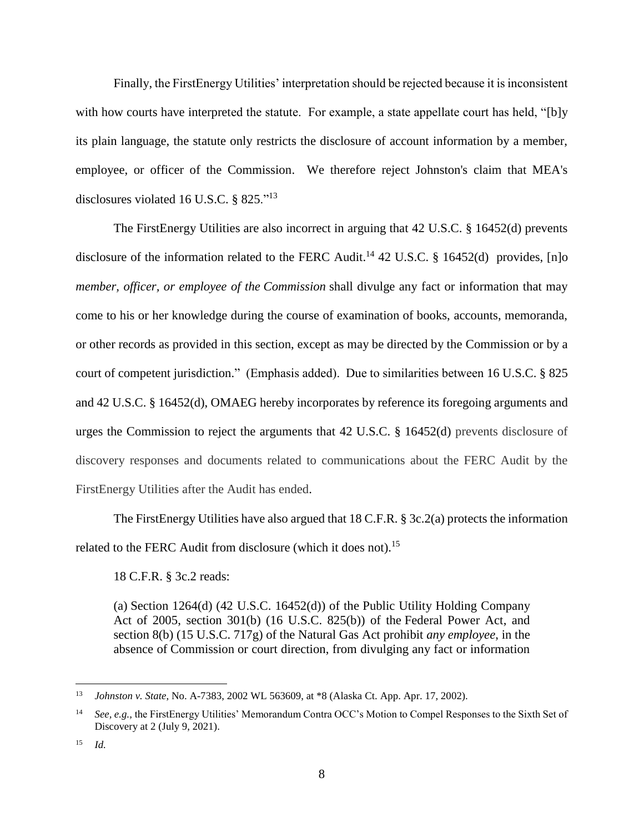Finally, the FirstEnergy Utilities' interpretation should be rejected because it is inconsistent with how courts have interpreted the statute. For example, a state appellate court has held, "[b]y its plain language, the statute only restricts the disclosure of account information by a member, employee, or officer of the Commission. We therefore reject Johnston's claim that MEA's disclosures violated 16 U.S.C. § 825."<sup>13</sup>

The FirstEnergy Utilities are also incorrect in arguing that 42 U.S.C. § 16452(d) prevents disclosure of the information related to the FERC Audit.<sup>14</sup> 42 U.S.C. § 16452(d) provides, [n]o *member, officer, or employee of the Commission* shall divulge any fact or information that may come to his or her knowledge during the course of examination of books, accounts, memoranda, or other records as provided in this section, except as may be directed by the Commission or by a court of competent jurisdiction." (Emphasis added). Due to similarities between 16 U.S.C. § 825 and 42 U.S.C. § 16452(d), OMAEG hereby incorporates by reference its foregoing arguments and urges the Commission to reject the arguments that 42 U.S.C. § 16452(d) prevents disclosure of discovery responses and documents related to communications about the FERC Audit by the FirstEnergy Utilities after the Audit has ended.

The FirstEnergy Utilities have also argued that 18 C.F.R. § 3c.2(a) protects the information related to the FERC Audit from disclosure (which it does not).<sup>15</sup>

18 C.F.R. § 3c.2 reads:

(a) Section 1264(d) (42 U.S.C. 16452(d)) of the [Public Utility Holding](https://www.law.cornell.edu/topn/public_utility_holding_company_act_of_2005) Company [Act of 2005,](https://www.law.cornell.edu/topn/public_utility_holding_company_act_of_2005) section 301(b) [\(16 U.S.C. 825\(b\)\)](https://www.law.cornell.edu/uscode/text/16/825#b) of the [Federal Power Act,](https://www.law.cornell.edu/topn/esch_water_power_act) and section 8(b) [\(15 U.S.C. 717g\)](https://www.law.cornell.edu/uscode/text/15/717g) of the [Natural Gas Act](https://www.law.cornell.edu/topn/brown-lea_natural_gas_act) prohibit *any employee*, in the absence of [Commission](https://www.law.cornell.edu/definitions/index.php?width=840&height=800&iframe=true&def_id=4dc3d5bb46557ce085405c0c3cc52894&term_occur=999&term_src=Title:18:Chapter:I:Subchapter:A:Part:3c:3c.2) or court direction, from divulging any fact or information

<sup>13</sup> *Johnston v. State*, No. A-7383, 2002 WL 563609, at \*8 (Alaska Ct. App. Apr. 17, 2002).

<sup>14</sup> *See, e.g.,* the FirstEnergy Utilities' Memorandum Contra OCC's Motion to Compel Responses to the Sixth Set of Discovery at 2 (July 9, 2021).

<sup>15</sup> *Id.*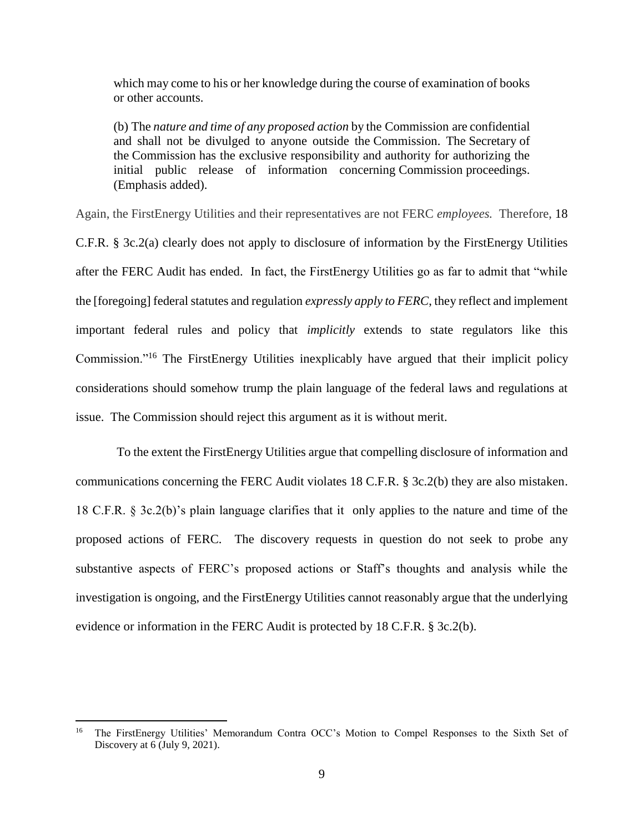which may come to his or her knowledge during the course of examination of books or other accounts.

(b) The *nature and time of any proposed action* by the [Commission](https://www.law.cornell.edu/definitions/index.php?width=840&height=800&iframe=true&def_id=4dc3d5bb46557ce085405c0c3cc52894&term_occur=999&term_src=Title:18:Chapter:I:Subchapter:A:Part:3c:3c.2) are confidential and shall not be divulged to anyone outside the [Commission.](https://www.law.cornell.edu/definitions/index.php?width=840&height=800&iframe=true&def_id=4dc3d5bb46557ce085405c0c3cc52894&term_occur=999&term_src=Title:18:Chapter:I:Subchapter:A:Part:3c:3c.2) The [Secretary](https://www.law.cornell.edu/definitions/index.php?width=840&height=800&iframe=true&def_id=11f7fbf46d797669f701dcfb1d45746b&term_occur=999&term_src=Title:18:Chapter:I:Subchapter:A:Part:3c:3c.2) of the [Commission](https://www.law.cornell.edu/definitions/index.php?width=840&height=800&iframe=true&def_id=4dc3d5bb46557ce085405c0c3cc52894&term_occur=999&term_src=Title:18:Chapter:I:Subchapter:A:Part:3c:3c.2) has the exclusive responsibility and authority for authorizing the initial public release of information concerning [Commission](https://www.law.cornell.edu/definitions/index.php?width=840&height=800&iframe=true&def_id=4dc3d5bb46557ce085405c0c3cc52894&term_occur=999&term_src=Title:18:Chapter:I:Subchapter:A:Part:3c:3c.2) proceedings. (Emphasis added).

Again, the FirstEnergy Utilities and their representatives are not FERC *employees.* Therefore, 18 C.F.R. § 3c.2(a) clearly does not apply to disclosure of information by the FirstEnergy Utilities after the FERC Audit has ended. In fact, the FirstEnergy Utilities go as far to admit that "while the [foregoing] federal statutes and regulation *expressly apply to FERC*, they reflect and implement important federal rules and policy that *implicitly* extends to state regulators like this Commission."<sup>16</sup> The FirstEnergy Utilities inexplicably have argued that their implicit policy considerations should somehow trump the plain language of the federal laws and regulations at issue. The Commission should reject this argument as it is without merit.

To the extent the FirstEnergy Utilities argue that compelling disclosure of information and communications concerning the FERC Audit violates 18 C.F.R. § 3c.2(b) they are also mistaken. 18 C.F.R. § 3c.2(b)'s plain language clarifies that it only applies to the nature and time of the proposed actions of FERC. The discovery requests in question do not seek to probe any substantive aspects of FERC's proposed actions or Staff's thoughts and analysis while the investigation is ongoing, and the FirstEnergy Utilities cannot reasonably argue that the underlying evidence or information in the FERC Audit is protected by 18 C.F.R. § 3c.2(b).

<sup>&</sup>lt;sup>16</sup> The FirstEnergy Utilities' Memorandum Contra OCC's Motion to Compel Responses to the Sixth Set of Discovery at 6 (July 9, 2021).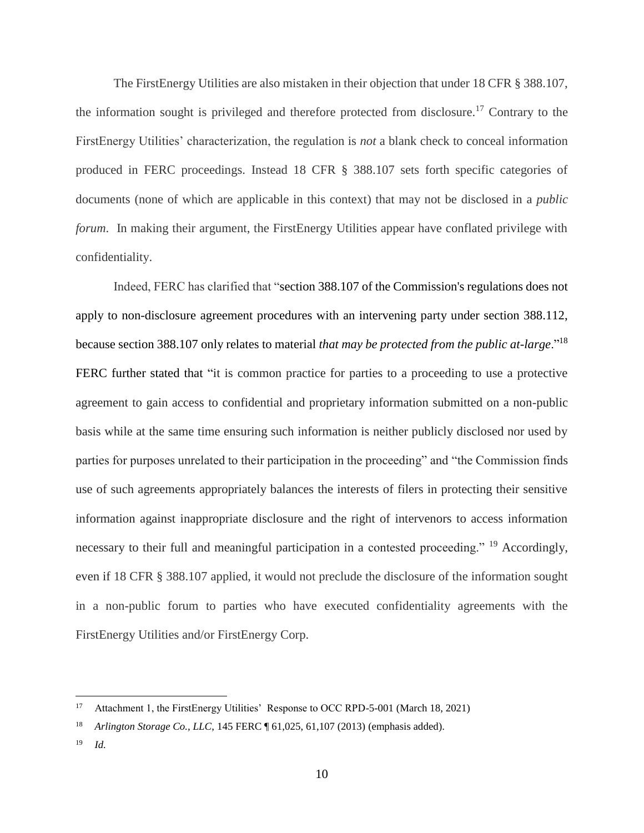The FirstEnergy Utilities are also mistaken in their objection that under 18 CFR § 388.107, the information sought is privileged and therefore protected from disclosure.<sup>17</sup> Contrary to the FirstEnergy Utilities' characterization, the regulation is *not* a blank check to conceal information produced in FERC proceedings. Instead 18 CFR § 388.107 sets forth specific categories of documents (none of which are applicable in this context) that may not be disclosed in a *public forum*. In making their argument, the FirstEnergy Utilities appear have conflated privilege with confidentiality.

Indeed, FERC has clarified that "section 388.107 of the Commission's regulations does not apply to non-disclosure agreement procedures with an intervening party under section 388.112, because section 388.107 only relates to material *that may be protected from the public at-large*."<sup>18</sup> FERC further stated that "it is common practice for parties to a proceeding to use a protective agreement to gain access to confidential and proprietary information submitted on a non-public basis while at the same time ensuring such information is neither publicly disclosed nor used by parties for purposes unrelated to their participation in the proceeding" and "the Commission finds use of such agreements appropriately balances the interests of filers in protecting their sensitive information against inappropriate disclosure and the right of intervenors to access information necessary to their full and meaningful participation in a contested proceeding." <sup>19</sup> Accordingly, even if 18 CFR § 388.107 applied, it would not preclude the disclosure of the information sought in a non-public forum to parties who have executed confidentiality agreements with the FirstEnergy Utilities and/or FirstEnergy Corp.

<sup>&</sup>lt;sup>17</sup> Attachment 1, the FirstEnergy Utilities' Response to OCC RPD-5-001 (March 18, 2021)

<sup>18</sup> *Arlington Storage Co., LLC*, 145 FERC ¶ 61,025, 61,107 (2013) (emphasis added).

<sup>19</sup> *Id.*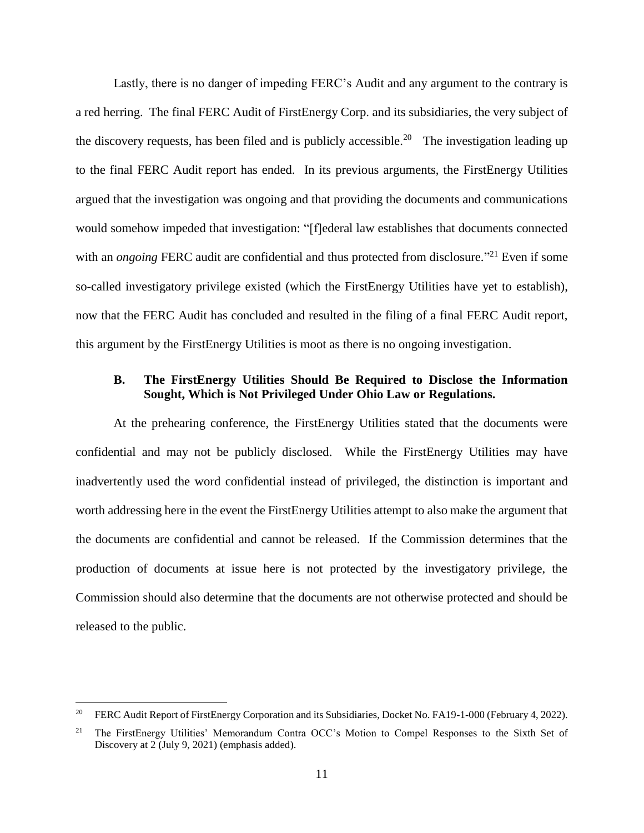Lastly, there is no danger of impeding FERC's Audit and any argument to the contrary is a red herring. The final FERC Audit of FirstEnergy Corp. and its subsidiaries, the very subject of the discovery requests, has been filed and is publicly accessible.<sup>20</sup> The investigation leading up to the final FERC Audit report has ended. In its previous arguments, the FirstEnergy Utilities argued that the investigation was ongoing and that providing the documents and communications would somehow impeded that investigation: "[f]ederal law establishes that documents connected with an *ongoing* FERC audit are confidential and thus protected from disclosure."<sup>21</sup> Even if some so-called investigatory privilege existed (which the FirstEnergy Utilities have yet to establish), now that the FERC Audit has concluded and resulted in the filing of a final FERC Audit report, this argument by the FirstEnergy Utilities is moot as there is no ongoing investigation.

### <span id="page-10-0"></span>**B. The FirstEnergy Utilities Should Be Required to Disclose the Information Sought, Which is Not Privileged Under Ohio Law or Regulations.**

At the prehearing conference, the FirstEnergy Utilities stated that the documents were confidential and may not be publicly disclosed. While the FirstEnergy Utilities may have inadvertently used the word confidential instead of privileged, the distinction is important and worth addressing here in the event the FirstEnergy Utilities attempt to also make the argument that the documents are confidential and cannot be released. If the Commission determines that the production of documents at issue here is not protected by the investigatory privilege, the Commission should also determine that the documents are not otherwise protected and should be released to the public.

<sup>&</sup>lt;sup>20</sup> FERC Audit Report of FirstEnergy Corporation and its Subsidiaries, Docket No. FA19-1-000 (February 4, 2022).

<sup>&</sup>lt;sup>21</sup> The FirstEnergy Utilities' Memorandum Contra OCC's Motion to Compel Responses to the Sixth Set of Discovery at 2 (July 9, 2021) (emphasis added).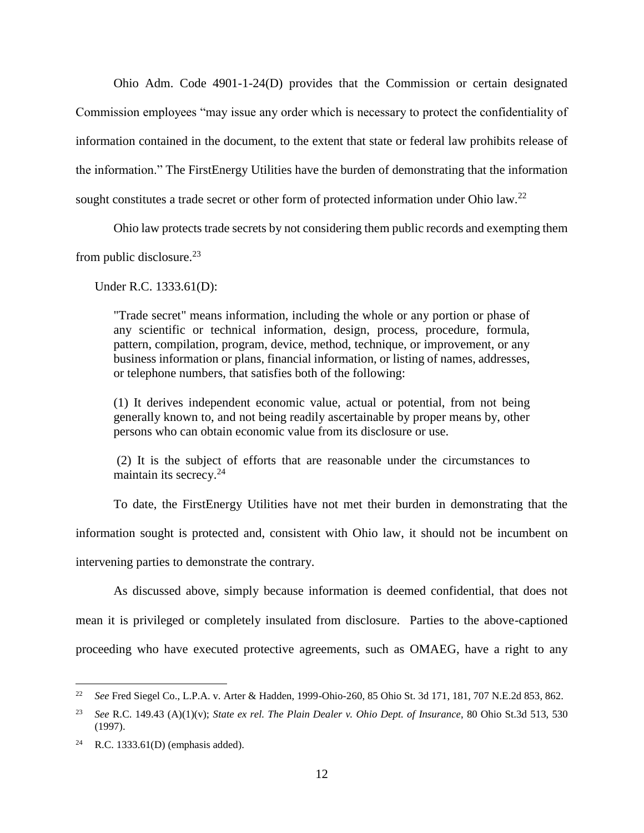Ohio Adm. Code 4901-1-24(D) provides that the Commission or certain designated Commission employees "may issue any order which is necessary to protect the confidentiality of information contained in the document, to the extent that state or federal law prohibits release of the information." The FirstEnergy Utilities have the burden of demonstrating that the information sought constitutes a trade secret or other form of protected information under Ohio law.<sup>22</sup>

Ohio law protects trade secrets by not considering them public records and exempting them from public disclosure. $23$ 

Under R.C. 1333.61(D):

"Trade secret" means information, including the whole or any portion or phase of any scientific or technical information, design, process, procedure, formula, pattern, compilation, program, device, method, technique, or improvement, or any business information or plans, financial information, or listing of names, addresses, or telephone numbers, that satisfies both of the following:

(1) It derives independent economic value, actual or potential, from not being generally known to, and not being readily ascertainable by proper means by, other persons who can obtain economic value from its disclosure or use.

(2) It is the subject of efforts that are reasonable under the circumstances to maintain its secrecy. $24$ 

To date, the FirstEnergy Utilities have not met their burden in demonstrating that the information sought is protected and, consistent with Ohio law, it should not be incumbent on intervening parties to demonstrate the contrary.

As discussed above, simply because information is deemed confidential, that does not mean it is privileged or completely insulated from disclosure. Parties to the above-captioned proceeding who have executed protective agreements, such as OMAEG, have a right to any

<sup>22</sup> *See* Fred Siegel Co., L.P.A. v. Arter & Hadden, 1999-Ohio-260, 85 Ohio St. 3d 171, 181, 707 N.E.2d 853, 862.

<sup>23</sup> *See* R.C. 149.43 (A)(1)(v); *State ex rel. The Plain Dealer v. Ohio Dept. of Insurance*, 80 Ohio St.3d 513, 530 (1997).

<sup>24</sup> R.C. 1333.61(D) (emphasis added).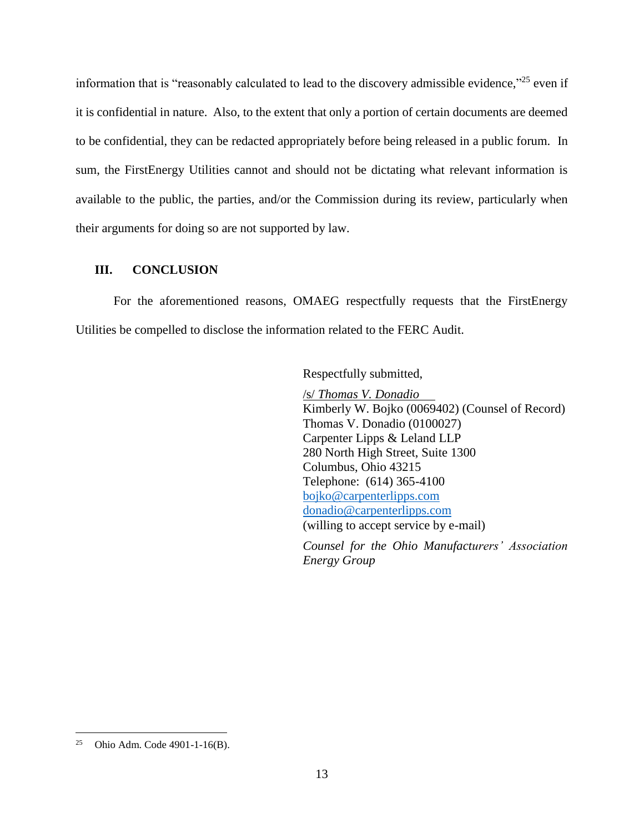information that is "reasonably calculated to lead to the discovery admissible evidence,"<sup>25</sup> even if it is confidential in nature. Also, to the extent that only a portion of certain documents are deemed to be confidential, they can be redacted appropriately before being released in a public forum. In sum, the FirstEnergy Utilities cannot and should not be dictating what relevant information is available to the public, the parties, and/or the Commission during its review, particularly when their arguments for doing so are not supported by law.

## <span id="page-12-0"></span>**III. CONCLUSION**

For the aforementioned reasons, OMAEG respectfully requests that the FirstEnergy Utilities be compelled to disclose the information related to the FERC Audit.

Respectfully submitted,

/s/ *Thomas V. Donadio* Kimberly W. Bojko (0069402) (Counsel of Record) Thomas V. Donadio (0100027) Carpenter Lipps & Leland LLP 280 North High Street, Suite 1300 Columbus, Ohio 43215 Telephone: (614) 365-4100 [bojko@carpenterlipps.com](mailto:bojko@carpenterlipps.com) [donadio@carpenterlipps.com](mailto:donadio@carpenterlipps.com) (willing to accept service by e-mail)

*Counsel for the Ohio Manufacturers' Association Energy Group*

<sup>&</sup>lt;sup>25</sup> Ohio Adm. Code 4901-1-16(B).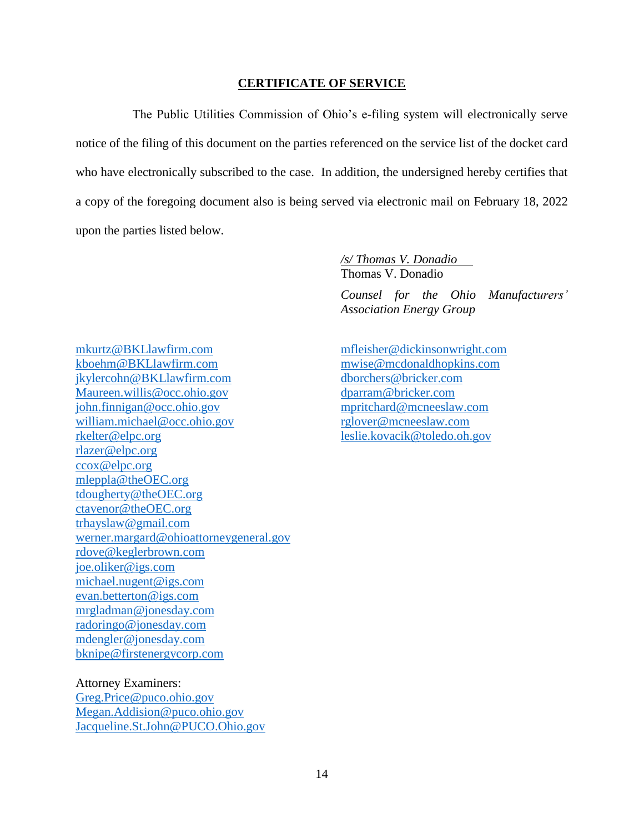#### **CERTIFICATE OF SERVICE**

<span id="page-13-0"></span>The Public Utilities Commission of Ohio's e-filing system will electronically serve notice of the filing of this document on the parties referenced on the service list of the docket card who have electronically subscribed to the case. In addition, the undersigned hereby certifies that a copy of the foregoing document also is being served via electronic mail on February 18, 2022 upon the parties listed below.

> */s/ Thomas V. Donadio* Thomas V. Donadio

*Counsel for the Ohio Manufacturers' Association Energy Group*

[mkurtz@BKLlawfirm.com](mailto:mkurtz@BKLlawfirm.com) [mfleisher@dickinsonwright.com](mailto:mfleisher@dickinsonwright.com) [kboehm@BKLlawfirm.com](mailto:kboehm@BKLlawfirm.com) [mwise@mcdonaldhopkins.com](mailto:mwise@mcdonaldhopkins.com) [jkylercohn@BKLlawfirm.com](mailto:jkylercohn@BKLlawfirm.com) [dborchers@bricker.com](mailto:dborchers@bricker.com) [Maureen.willis@occ.ohio.gov](mailto:Maureen.willis@occ.ohio.gov) [dparram@bricker.com](mailto:dparram@bricker.com) [john.finnigan@occ.ohio.gov](mailto:john.finnigan@occ.ohio.gov) [mpritchard@mcneeslaw.com](mailto:mpritchard@mcneeslaw.com) [william.michael@occ.ohio.gov](mailto:william.michael@occ.ohio.gov) [rglover@mcneeslaw.com](mailto:rglover@mcneeslaw.com) [rkelter@elpc.org](mailto:rkelter@elpc.org) [leslie.kovacik@toledo.oh.gov](mailto:leslie.kovacik@toledo.oh.gov) [rlazer@elpc.org](mailto:rlazer@elpc.org) [ccox@elpc.org](mailto:ccox@elpc.org) [mleppla@theOEC.org](mailto:mleppla@theOEC.org) [tdougherty@theOEC.org](mailto:tdougherty@theOEC.org) [ctavenor@theOEC.org](mailto:ctavenor@theOEC.org) [trhayslaw@gmail.com](mailto:trhayslaw@gmail.com) [werner.margard@ohioattorneygeneral.gov](mailto:werner.margard@ohioattorneygeneral.gov) [rdove@keglerbrown.com](mailto:rdove@keglerbrown.com) [joe.oliker@igs.com](mailto:joe.oliker@igs.com) [michael.nugent@igs.com](mailto:michael.nugent@igs.com) [evan.betterton@igs.com](mailto:evan.betterton@igs.com) [mrgladman@jonesday.com](mailto:mrgladman@jonesday.com) [radoringo@jonesday.com](mailto:radoringo@jonesday.com) [mdengler@jonesday.com](mailto:mdengler@jonesday.com) [bknipe@firstenergycorp.com](mailto:bknipe@firstenergycorp.com)

#### [Megan.Addision@puco.ohio.gov](mailto:Megan.Addision@puco.ohio.gov)

Attorney Examiners:

[Greg.Price@puco.ohio.gov](mailto:Greg.Price@puco.ohio.gov)

[Jacqueline.St.John@PUCO.Ohio.gov](mailto:Jacqueline.St.John@PUCO.Ohio.gov)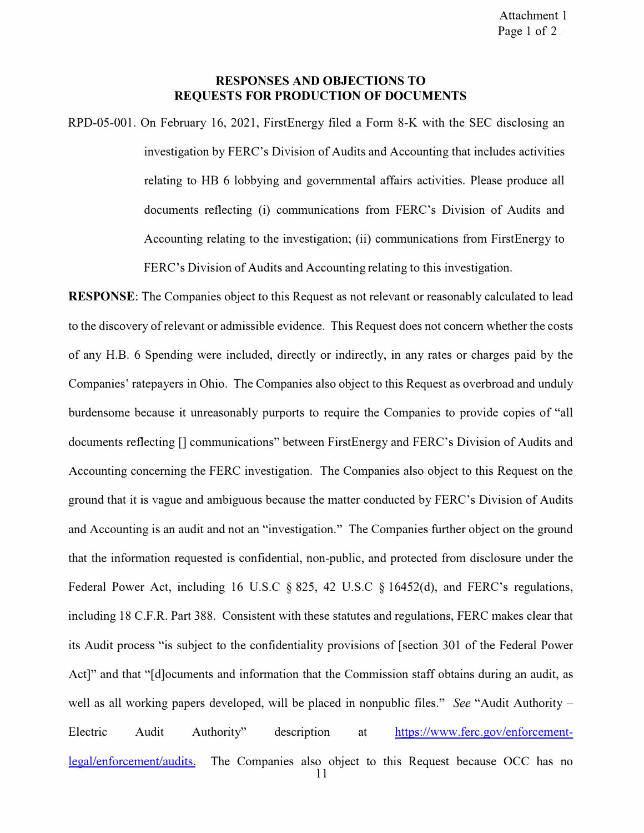### **RESPONSES AND OBJECTIONS TO REQUESTS FOR PRODUCTION OF DOCUMENTS**

RPD-05-001. On February 16, 2021, FirstEnergy filed a Form 8-K with the SEC disclosing an investigation by FERC's Division of Audits and Accounting that includes activities relating to HB 6 lobbying and governmental affairs activities. Please produce all documents reflecting (i) communications from FERC's Division of Audits and Accounting relating to the investigation; (ii) communications from FirstEnergy to FERC's Division of Audits and Accounting relating to this investigation.

**RESPONSE:** The Companies object to this Request as not relevant or reasonably calculated to lead to the discovery of relevant or admissible evidence. This Request does not concern whether the costs of any H.B. 6 Spending were included, directly or indirectly, in any rates or charges paid by the Companies' ratepayers in Ohio. The Companies also object to this Request as overbroad and unduly burdensome because it unreasonably purports to require the Companies to provide copies of "all documents reflecting [] communications" between FirstEnergy and FERC's Division of Audits and Accounting concerning the FERC investigation. The Companies also object to this Request on the ground that it is vague and ambiguous because the matter conducted by FERC's Division of Audits and Accounting is an audit and not an "investigation." The Companies further object on the ground that the information requested is confidential, non-public, and protected from disclosure under the Federal Power Act, including 16 U.S.C § 825, 42 U.S.C § 16452(d), and FERC's regulations, including 18 C.F.R. Part 388. Consistent with these statutes and regulations, FERC makes clear that its Audit process "is subject to the confidentiality provisions of [section 301 of the Federal Power Act]" and that "[d]ocuments and information that the Commission staff obtains during an audit, as well as all working papers developed, will be placed in nonpublic files." *See* "Audit Authority – Electric Audit Authority" description at https://www.ferc.gov/enforcementlegal/enforcement/audits. The Companies also object to this Request because OCC has no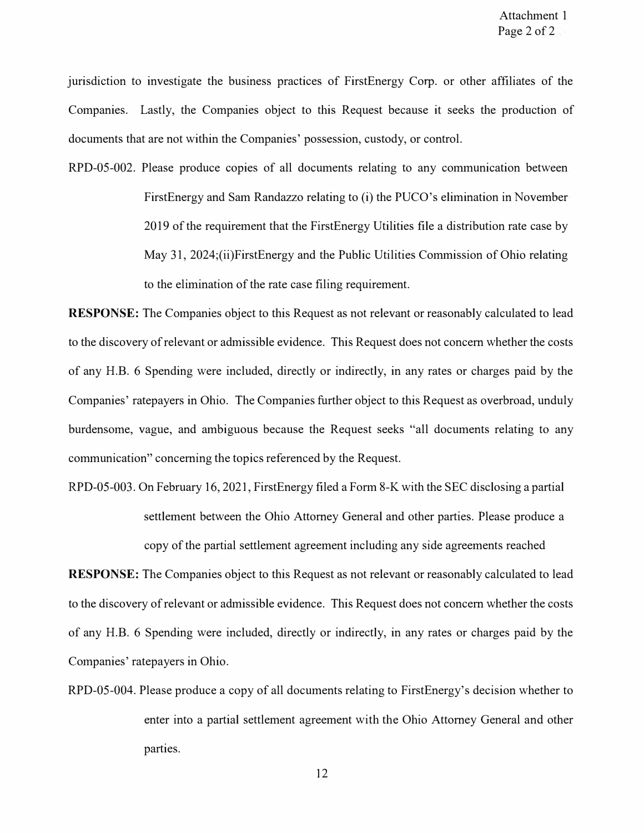jurisdiction to investigate the business practices of FirstEnergy Corp. or other affiliates of the Companies. Lastly, the Companies object to this Request because it seeks the production of documents that are not within the Companies' possession, custody, or control.

RPD-05-002. Please produce copies of all documents relating to any communication between FirstEnergy and Sam Randazzo relating to (i) the PUCO's elimination in November 2019 of the requirement that the FirstEnergy Utilities file a distribution rate case by May 31, 2024;(ii)FirstEnergy and the Public Utilities Commission of Ohio relating to the elimination of the rate case filing requirement.

**RESPONSE:** The Companies object to this Request as not relevant or reasonably calculated to lead to the discovery of relevant or admissible evidence. This Request does not concern whether the costs of any H.B. 6 Spending were included, directly or indirectly, in any rates or charges paid by the Companies' ratepayers in Ohio. The Companies further object to this Request as overbroad, unduly burdensome, vague, and ambiguous because the Request seeks "all documents relating to any communication" concerning the topics referenced by the Request.

RPD-05-003. On February 16, 2021, FirstEnergy filed a Form 8-K with the SEC disclosing a partial settlement between the Ohio Attorney General and other parties. Please produce a copy of the partial settlement agreement including any side agreements reached

**RESPONSE:** The Companies object to this Request as not relevant or reasonably calculated to lead to the discovery of relevant or admissible evidence. This Request does not concern whether the costs of any H.B. 6 Spending were included, directly or indirectly, in any rates or charges paid by the Companies' ratepayers in Ohio.

RPD-05-004. Please produce a copy of all documents relating to FirstEnergy's decision whether to enter into a partial settlement agreement with the Ohio Attorney General and other parties.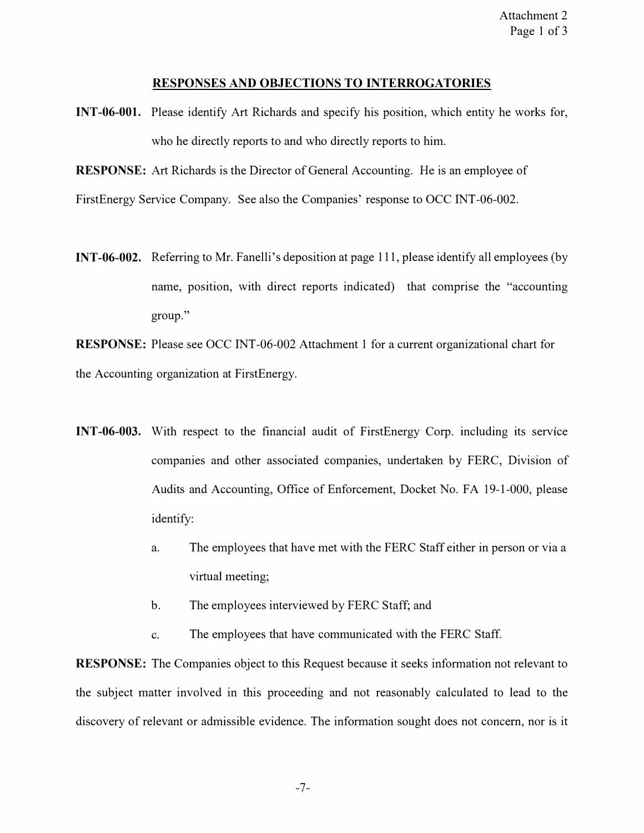#### **RESPONSES AND OBJECTIONS TO INTERROGATORIES**

**INT-06-001.** Please identify Art Richards and specify his position, which entity he works for, who he directly reports to and who directly reports to him.

**RESPONSE:** Art Richards is the Director of General Accounting. He is an employee of

FirstEnergy Service Company. See also the Companies' response to OCC INT-06-002.

**INT-06-002.** Referring to Mr. Fanelli's deposition at page 111, please identify all employees (by name, position, with direct reports indicated) that comprise the "accounting group."

**RESPONSE:** Please see OCC INT-06-002 Attachment 1 for a current organizational chart for the Accounting organization at FirstEnergy.

- **INT-06-003.** With respect to the financial audit of FirstEnergy Corp. including its service companies and other associated companies, undertaken by FERC, Division of Audits and Accounting, Office of Enforcement, Docket No. FA 19-1-000, please identify:
	- a. The employees that have met with the FERC Staff either in person or via a virtual meeting;
	- b. The employees interviewed by FERC Staff; and
	- c. The employees that have communicated with the FERC Staff.

**RESPONSE:** The Companies object to this Request because it seeks information not relevant to the subject matter involved in this proceeding and not reasonably calculated to lead to the discovery of relevant or admissible evidence. The information sought does not concern, nor is it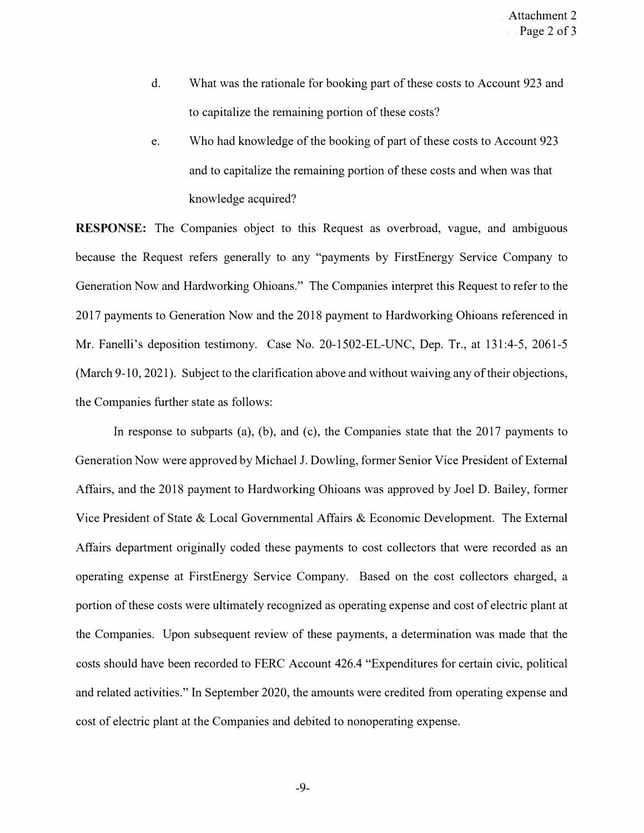- d. What was the rationale for booking part of these costs to Account 923 and to capitalize the remaining portion of these costs?
- e. Who had knowledge of the booking of part of these costs to Account 923 and to capitalize the remaining portion of these costs and when was that knowledge acquired?

**RESPONSE:** The Companies object to this Request as overbroad, vague, and ambiguous because the Request refers generally to any "payments by FirstEnergy Service Company to Generation Now and Hardworking Ohioans." The Companies interpret this Request to refer to the 2017 payments to Generation Now and the 2018 payment to Hardworking Ohioans referenced in Mr. Fanelli's deposition testimony. Case No. 20-1502-EL-UNC, Dep. Tr., at 131:4-5, 2061-5 (March 9-10, 2021). Subject to the clarification above and without waiving any of their objections, the Companies further state as follows:

In response to subparts (a), (b), and (c), the Companies state that the  $2017$  payments to Generation Now were approved by Michael J. Dowling, former Senior Vice President of External Affairs, and the 2018 payment to Hardworking Ohioans was approved by Joel D. Bailey, former Vice President of State & Local Governmental Affairs & Economic Development. The External Affairs department originally coded these payments to cost collectors that were recorded as an operating expense at FirstEnergy Service Company. Based on the cost collectors charged, a portion of these costs were ultimately recognized as operating expense and cost of electric plant at the Companies. Upon subsequent review of these payments, a determination was made that the costs should have been recorded to FERC Account 426.4 "Expenditures for certain civic, political and related activities." In September 2020, the amounts were credited from operating expense and cost of electric plant at the Companies and debited to nonoperating expense.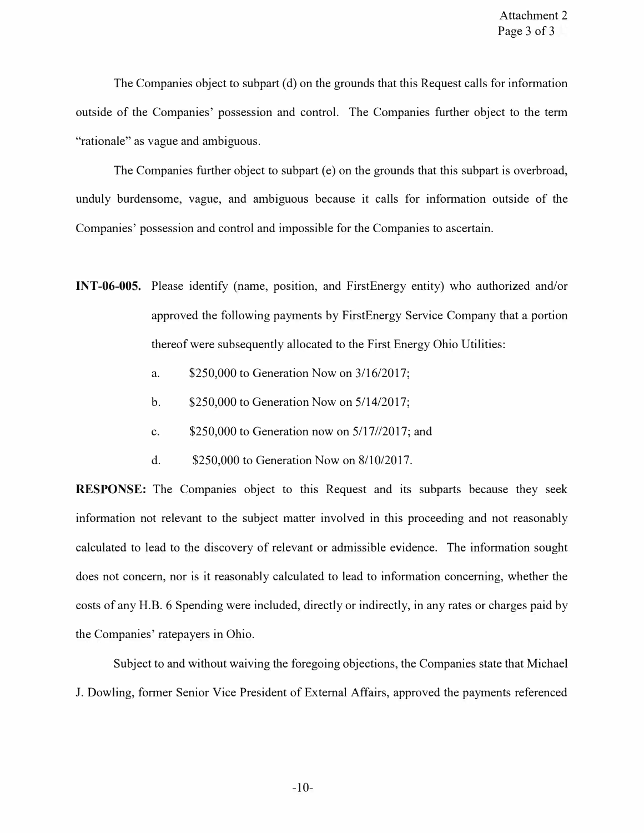The Companies object to subpart (d) on the grounds that this Request calls for information outside of the Companies' possession and control. The Companies further object to the term "rationale" as vague and ambiguous.

The Companies further object to subpart (e) on the grounds that this subpart is overbroad, unduly burdensome, vague, and ambiguous because it calls for information outside of the Companies' possession and control and impossible for the Companies to ascertain.

- **INT-06-005.** Please identify (name, position, and FirstEnergy entity) who authorized and/or approved the following payments by FirstEnergy Service Company that a portion thereof were subsequently allocated to the First Energy Ohio Utilities:
	- a. \$250,000 to Generation Now on 3/16/2017;
	- b. \$250,000 to Generation Now on 5/14/2017;
	- c. \$250,000 to Generation now on 5/17//2017; and
	- d. \$250,000 to Generation Now on 8/10/2017.

**RESPONSE:** The Companies object to this Request and its subparts because they seek information not relevant to the subject matter involved in this proceeding and not reasonably calculated to lead to the discovery of relevant or admissible evidence. The information sought does not concern, nor is it reasonably calculated to lead to information concerning, whether the costs of any H.B. 6 Spending were included, directly or indirectly, in any rates or charges paid by the Companies' ratepayers in Ohio.

Subject to and without waiving the foregoing objections, the Companies state that Michael J. Dowling, former Senior Vice President of External Affairs, approved the payments referenced